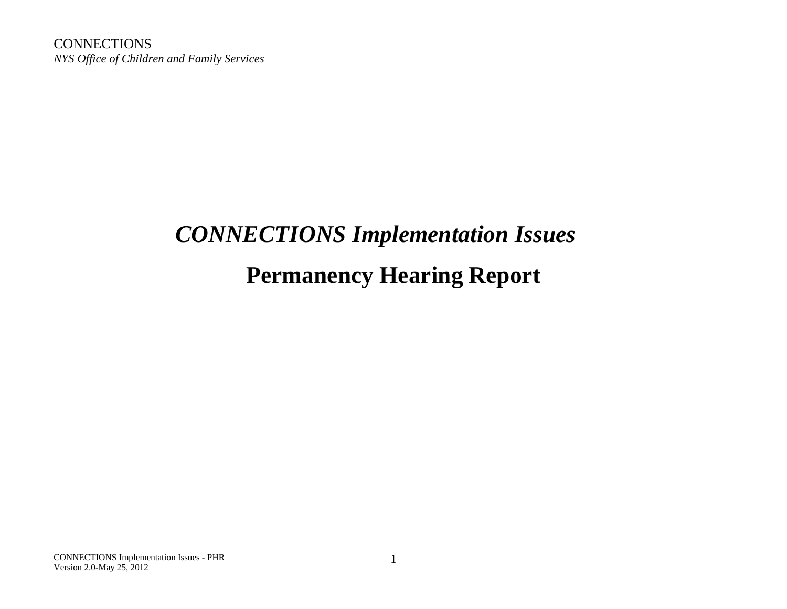**CONNECTIONS** *NYS Office of Children and Family Services*

# *CONNECTIONS Implementation Issues* **Permanency Hearing Report**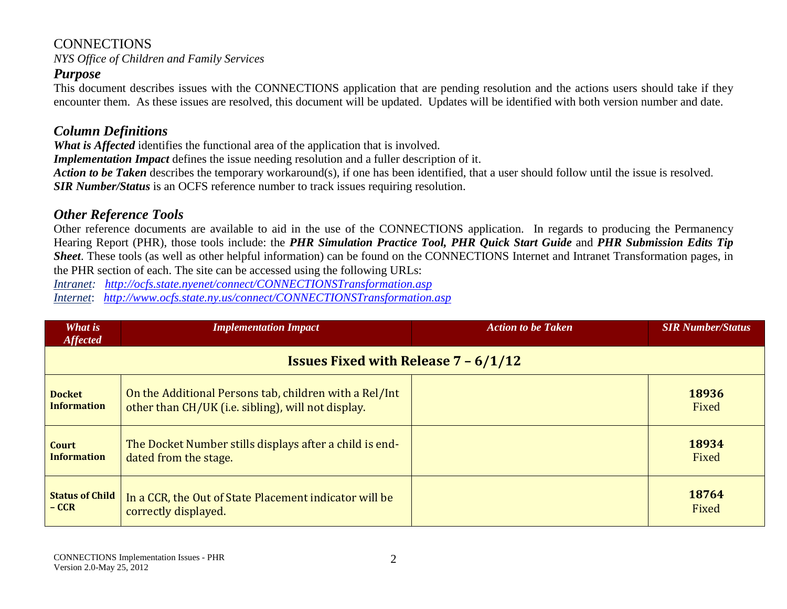*NYS Office of Children and Family Services*

#### *Purpose*

This document describes issues with the CONNECTIONS application that are pending resolution and the actions users should take if they encounter them. As these issues are resolved, this document will be updated. Updates will be identified with both version number and date.

## *Column Definitions*

*What is Affected* identifies the functional area of the application that is involved.

*Implementation Impact* defines the issue needing resolution and a fuller description of it.

*Action to be Taken* describes the temporary workaround(s), if one has been identified, that a user should follow until the issue is resolved. *SIR Number/Status* is an OCFS reference number to track issues requiring resolution.

#### *Other Reference Tools*

Other reference documents are available to aid in the use of the CONNECTIONS application. In regards to producing the Permanency Hearing Report (PHR), those tools include: the *PHR Simulation Practice Tool, PHR Quick Start Guide* and *PHR Submission Edits Tip Sheet*. These tools (as well as other helpful information) can be found on the CONNECTIONS Internet and Intranet Transformation pages, in the PHR section of each. The site can be accessed using the following URLs:

*Intranet: <http://ocfs.state.nyenet/connect/CONNECTIONSTransformation.asp>*

*Internet*: *<http://www.ocfs.state.ny.us/connect/CONNECTIONSTransformation.asp>*

| What is<br><b>Affected</b>                               | <b>Implementation Impact</b>                            | <b>Action to be Taken</b> | <b>SIR Number/Status</b> |
|----------------------------------------------------------|---------------------------------------------------------|---------------------------|--------------------------|
| <b>Issues Fixed with Release <math>7 - 6/1/12</math></b> |                                                         |                           |                          |
| <b>Docket</b>                                            | On the Additional Persons tab, children with a Rel/Int  |                           | 18936                    |
| <b>Information</b>                                       | other than CH/UK (i.e. sibling), will not display.      |                           | Fixed                    |
| Court                                                    | The Docket Number stills displays after a child is end- |                           | 18934                    |
| <b>Information</b>                                       | dated from the stage.                                   |                           | Fixed                    |
| <b>Status of Child</b>                                   | In a CCR, the Out of State Placement indicator will be  |                           | 18764                    |
| $-$ CCR                                                  | correctly displayed.                                    |                           | Fixed                    |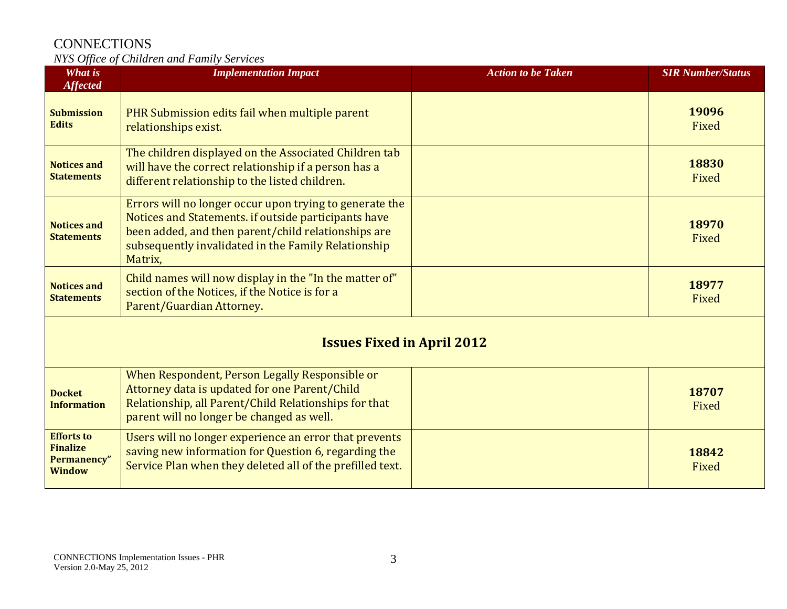| What is<br><b>Affected</b>                                           | <b>Implementation Impact</b>                                                                                                                                                                                                             | <b>Action to be Taken</b> | <b>SIR Number/Status</b> |
|----------------------------------------------------------------------|------------------------------------------------------------------------------------------------------------------------------------------------------------------------------------------------------------------------------------------|---------------------------|--------------------------|
| <b>Submission</b><br><b>Edits</b>                                    | PHR Submission edits fail when multiple parent<br>relationships exist.                                                                                                                                                                   |                           | 19096<br>Fixed           |
| <b>Notices and</b><br><b>Statements</b>                              | The children displayed on the Associated Children tab<br>will have the correct relationship if a person has a<br>different relationship to the listed children.                                                                          |                           | 18830<br>Fixed           |
| <b>Notices and</b><br><b>Statements</b>                              | Errors will no longer occur upon trying to generate the<br>Notices and Statements. if outside participants have<br>been added, and then parent/child relationships are<br>subsequently invalidated in the Family Relationship<br>Matrix, |                           | 18970<br>Fixed           |
| <b>Notices and</b><br><b>Statements</b>                              | Child names will now display in the "In the matter of"<br>section of the Notices, if the Notice is for a<br>Parent/Guardian Attorney.                                                                                                    |                           | 18977<br>Fixed           |
| <b>Issues Fixed in April 2012</b>                                    |                                                                                                                                                                                                                                          |                           |                          |
| <b>Docket</b><br><b>Information</b>                                  | When Respondent, Person Legally Responsible or<br>Attorney data is updated for one Parent/Child<br>Relationship, all Parent/Child Relationships for that<br>parent will no longer be changed as well.                                    |                           | 18707<br>Fixed           |
| <b>Efforts to</b><br><b>Finalize</b><br>Permanency"<br><b>Window</b> | Users will no longer experience an error that prevents<br>saving new information for Question 6, regarding the<br>Service Plan when they deleted all of the prefilled text.                                                              |                           | 18842<br>Fixed           |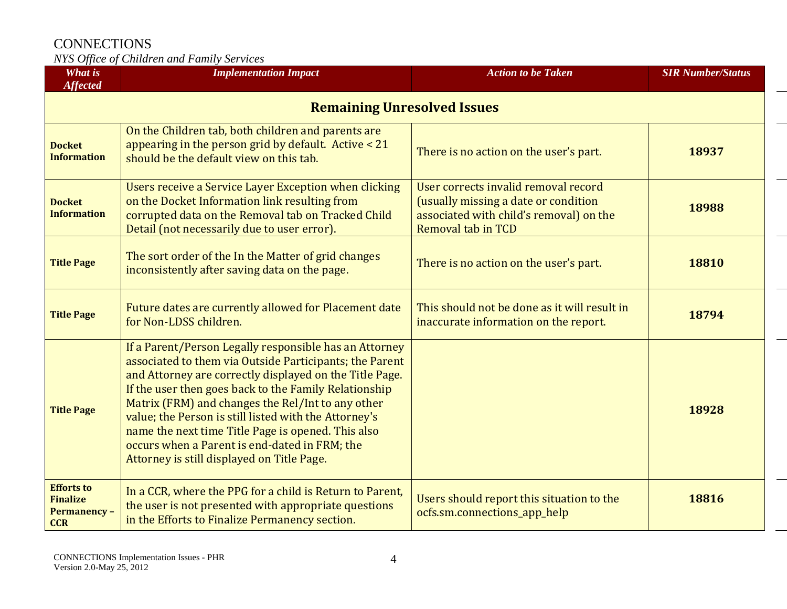| What is<br><b>Affected</b>                                               | <b>Implementation Impact</b>                                                                                                                                                                                                                                                                                                                                                                                                                                                                             | <b>Action to be Taken</b>                                                                                                                            | <b>SIR Number/Status</b> |
|--------------------------------------------------------------------------|----------------------------------------------------------------------------------------------------------------------------------------------------------------------------------------------------------------------------------------------------------------------------------------------------------------------------------------------------------------------------------------------------------------------------------------------------------------------------------------------------------|------------------------------------------------------------------------------------------------------------------------------------------------------|--------------------------|
| <b>Remaining Unresolved Issues</b>                                       |                                                                                                                                                                                                                                                                                                                                                                                                                                                                                                          |                                                                                                                                                      |                          |
| <b>Docket</b><br><b>Information</b>                                      | On the Children tab, both children and parents are<br>appearing in the person grid by default. Active $<$ 21<br>should be the default view on this tab.                                                                                                                                                                                                                                                                                                                                                  | There is no action on the user's part.                                                                                                               | 18937                    |
| <b>Docket</b><br><b>Information</b>                                      | Users receive a Service Layer Exception when clicking<br>on the Docket Information link resulting from<br>corrupted data on the Removal tab on Tracked Child<br>Detail (not necessarily due to user error).                                                                                                                                                                                                                                                                                              | User corrects invalid removal record<br>(usually missing a date or condition<br>associated with child's removal) on the<br><b>Removal tab in TCD</b> | 18988                    |
| <b>Title Page</b>                                                        | The sort order of the In the Matter of grid changes<br>inconsistently after saving data on the page.                                                                                                                                                                                                                                                                                                                                                                                                     | There is no action on the user's part.                                                                                                               | 18810                    |
| <b>Title Page</b>                                                        | Future dates are currently allowed for Placement date<br>for Non-LDSS children.                                                                                                                                                                                                                                                                                                                                                                                                                          | This should not be done as it will result in<br>inaccurate information on the report.                                                                | 18794                    |
| <b>Title Page</b>                                                        | If a Parent/Person Legally responsible has an Attorney<br>associated to them via Outside Participants; the Parent<br>and Attorney are correctly displayed on the Title Page.<br>If the user then goes back to the Family Relationship<br>Matrix (FRM) and changes the Rel/Int to any other<br>value; the Person is still listed with the Attorney's<br>name the next time Title Page is opened. This also<br>occurs when a Parent is end-dated in FRM; the<br>Attorney is still displayed on Title Page. |                                                                                                                                                      | 18928                    |
| <b>Efforts to</b><br><b>Finalize</b><br><b>Permanency-</b><br><b>CCR</b> | In a CCR, where the PPG for a child is Return to Parent,<br>the user is not presented with appropriate questions<br>in the Efforts to Finalize Permanency section.                                                                                                                                                                                                                                                                                                                                       | Users should report this situation to the<br>ocfs.sm.connections_app_help                                                                            | 18816                    |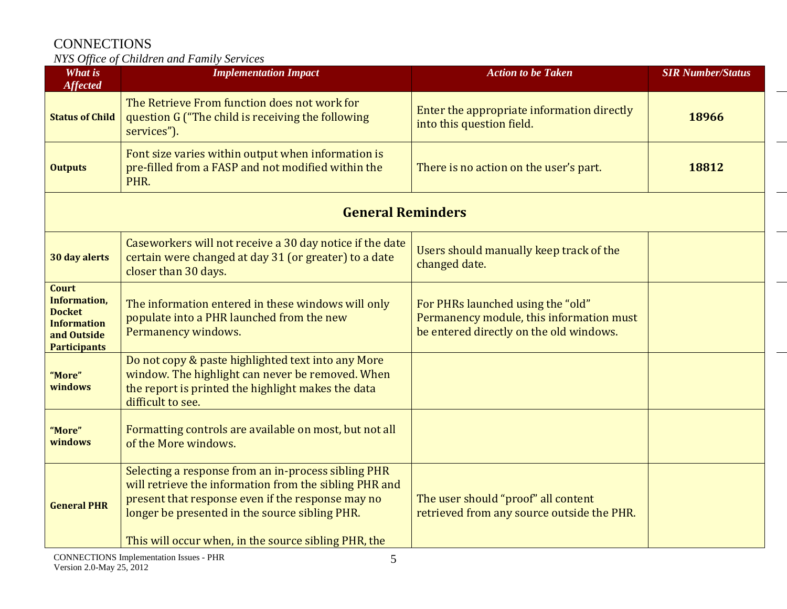| <b>What is</b><br><b>Affected</b>                                                                                | <b>Implementation Impact</b>                                                                                                                                                                                                                                                 | <b>Action to be Taken</b>                                                                                                | <b>SIR Number/Status</b> |
|------------------------------------------------------------------------------------------------------------------|------------------------------------------------------------------------------------------------------------------------------------------------------------------------------------------------------------------------------------------------------------------------------|--------------------------------------------------------------------------------------------------------------------------|--------------------------|
| <b>Status of Child</b>                                                                                           | The Retrieve From function does not work for<br>question G ("The child is receiving the following<br>services").                                                                                                                                                             | Enter the appropriate information directly<br>into this question field.                                                  | 18966                    |
| <b>Outputs</b>                                                                                                   | Font size varies within output when information is<br>pre-filled from a FASP and not modified within the<br>PHR.                                                                                                                                                             | There is no action on the user's part.                                                                                   | 18812                    |
| <b>General Reminders</b>                                                                                         |                                                                                                                                                                                                                                                                              |                                                                                                                          |                          |
| 30 day alerts                                                                                                    | Caseworkers will not receive a 30 day notice if the date<br>certain were changed at day 31 (or greater) to a date<br>closer than 30 days.                                                                                                                                    | Users should manually keep track of the<br>changed date.                                                                 |                          |
| <b>Court</b><br><b>Information,</b><br><b>Docket</b><br><b>Information</b><br>and Outside<br><b>Participants</b> | The information entered in these windows will only<br>populate into a PHR launched from the new<br>Permanency windows.                                                                                                                                                       | For PHRs launched using the "old"<br>Permanency module, this information must<br>be entered directly on the old windows. |                          |
| "More"<br>windows                                                                                                | Do not copy & paste highlighted text into any More<br>window. The highlight can never be removed. When<br>the report is printed the highlight makes the data<br>difficult to see.                                                                                            |                                                                                                                          |                          |
| "More"<br>windows                                                                                                | Formatting controls are available on most, but not all<br>of the More windows.                                                                                                                                                                                               |                                                                                                                          |                          |
| <b>General PHR</b>                                                                                               | Selecting a response from an in-process sibling PHR<br>will retrieve the information from the sibling PHR and<br>present that response even if the response may no<br>longer be presented in the source sibling PHR.<br>This will occur when, in the source sibling PHR, the | The user should "proof" all content<br>retrieved from any source outside the PHR.                                        |                          |